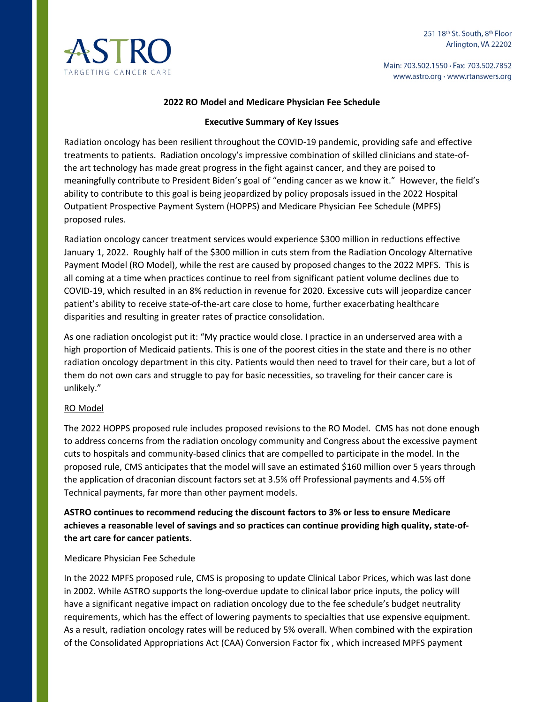

Main: 703.502.1550 · Fax: 703.502.7852 www.astro.org · www.rtanswers.org

## **2022 RO Model and Medicare Physician Fee Schedule**

#### **Executive Summary of Key Issues**

Radiation oncology has been resilient throughout the COVID-19 pandemic, providing safe and effective treatments to patients. Radiation oncology's impressive combination of skilled clinicians and state-ofthe art technology has made great progress in the fight against cancer, and they are poised to meaningfully contribute to President Biden's goal of "ending cancer as we know it." However, the field's ability to contribute to this goal is being jeopardized by policy proposals issued in the 2022 Hospital Outpatient Prospective Payment System (HOPPS) and Medicare Physician Fee Schedule (MPFS) proposed rules.

Radiation oncology cancer treatment services would experience \$300 million in reductions effective January 1, 2022. Roughly half of the \$300 million in cuts stem from the Radiation Oncology Alternative Payment Model (RO Model), while the rest are caused by proposed changes to the 2022 MPFS. This is all coming at a time when practices continue to reel from significant patient volume declines due to COVID-19, which resulted in an 8% reduction in revenue for 2020. Excessive cuts will jeopardize cancer patient's ability to receive state-of-the-art care close to home, further exacerbating healthcare disparities and resulting in greater rates of practice consolidation.

As one radiation oncologist put it: "My practice would close. I practice in an underserved area with a high proportion of Medicaid patients. This is one of the poorest cities in the state and there is no other radiation oncology department in this city. Patients would then need to travel for their care, but a lot of them do not own cars and struggle to pay for basic necessities, so traveling for their cancer care is unlikely."

## RO Model

The 2022 HOPPS proposed rule includes proposed revisions to the RO Model. CMS has not done enough to address concerns from the radiation oncology community and Congress about the excessive payment cuts to hospitals and community-based clinics that are compelled to participate in the model. In the proposed rule, CMS anticipates that the model will save an estimated \$160 million over 5 years through the application of draconian discount factors set at 3.5% off Professional payments and 4.5% off Technical payments, far more than other payment models.

**ASTRO continues to recommend reducing the discount factors to 3% or less to ensure Medicare achieves a reasonable level of savings and so practices can continue providing high quality, state-ofthe art care for cancer patients.** 

#### Medicare Physician Fee Schedule

In the 2022 MPFS proposed rule, CMS is proposing to update Clinical Labor Prices, which was last done in 2002. While ASTRO supports the long-overdue update to clinical labor price inputs, the policy will have a significant negative impact on radiation oncology due to the fee schedule's budget neutrality requirements, which has the effect of lowering payments to specialties that use expensive equipment. As a result, radiation oncology rates will be reduced by 5% overall. When combined with the expiration of the Consolidated Appropriations Act (CAA) Conversion Factor fix , which increased MPFS payment